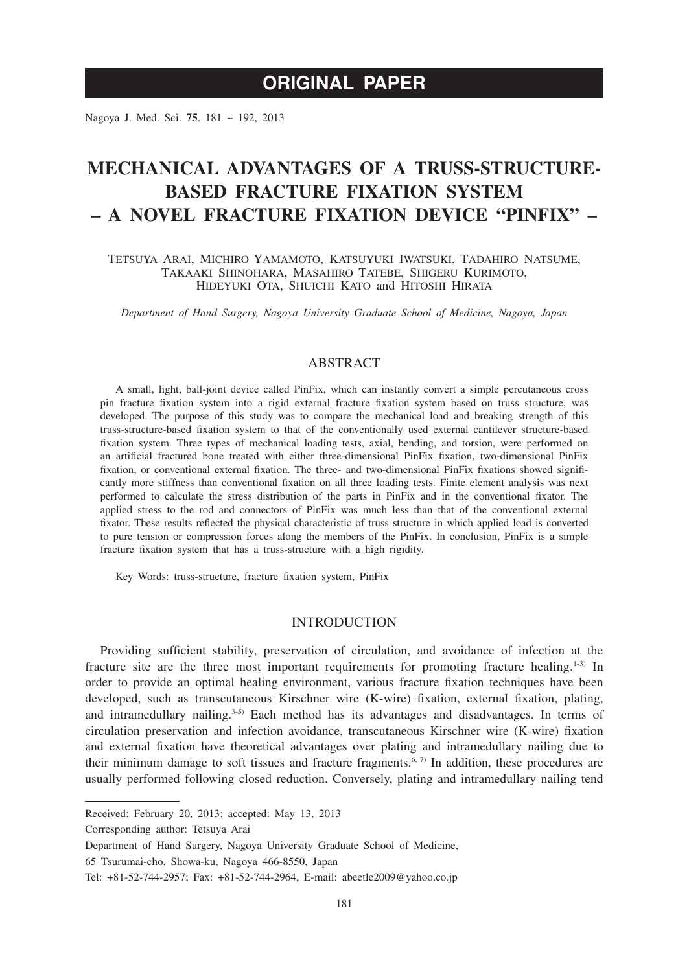# **ORIGINAL PAPER**

Nagoya J. Med. Sci. **75**. 181 ~ 192, 2013

# **MECHANICAL ADVANTAGES OF A TRUSS-STRUCTURE-BASED FRACTURE FIXATION SYSTEM – A NOVEL FRACTURE FIXATION DEVICE "PINFIX" –**

Tetsuya Arai, Michiro Yamamoto, Katsuyuki Iwatsuki, Tadahiro Natsume, Takaaki Shinohara, Masahiro Tatebe, Shigeru Kurimoto, Hideyuki Ota, Shuichi Kato and Hitoshi Hirata

*Department of Hand Surgery, Nagoya University Graduate School of Medicine, Nagoya, Japan*

## ABSTRACT

A small, light, ball-joint device called PinFix, which can instantly convert a simple percutaneous cross pin fracture fixation system into a rigid external fracture fixation system based on truss structure, was developed. The purpose of this study was to compare the mechanical load and breaking strength of this truss-structure-based fixation system to that of the conventionally used external cantilever structure-based fixation system. Three types of mechanical loading tests, axial, bending, and torsion, were performed on an artificial fractured bone treated with either three-dimensional PinFix fixation, two-dimensional PinFix fixation, or conventional external fixation. The three- and two-dimensional PinFix fixations showed significantly more stiffness than conventional fixation on all three loading tests. Finite element analysis was next performed to calculate the stress distribution of the parts in PinFix and in the conventional fixator. The applied stress to the rod and connectors of PinFix was much less than that of the conventional external fixator. These results reflected the physical characteristic of truss structure in which applied load is converted to pure tension or compression forces along the members of the PinFix. In conclusion, PinFix is a simple fracture fixation system that has a truss-structure with a high rigidity.

Key Words: truss-structure, fracture fixation system, PinFix

### **INTRODUCTION**

Providing sufficient stability, preservation of circulation, and avoidance of infection at the fracture site are the three most important requirements for promoting fracture healing.<sup>1-3)</sup> In order to provide an optimal healing environment, various fracture fixation techniques have been developed, such as transcutaneous Kirschner wire (K-wire) fixation, external fixation, plating, and intramedullary nailing. $3-5$  Each method has its advantages and disadvantages. In terms of circulation preservation and infection avoidance, transcutaneous Kirschner wire (K-wire) fixation and external fixation have theoretical advantages over plating and intramedullary nailing due to their minimum damage to soft tissues and fracture fragments.<sup>6,  $\eta$ </sup> In addition, these procedures are usually performed following closed reduction. Conversely, plating and intramedullary nailing tend

Corresponding author: Tetsuya Arai

65 Tsurumai-cho, Showa-ku, Nagoya 466-8550, Japan

Received: February 20, 2013; accepted: May 13, 2013

Department of Hand Surgery, Nagoya University Graduate School of Medicine,

Tel: +81-52-744-2957; Fax: +81-52-744-2964, E-mail: abeetle2009@yahoo.co.jp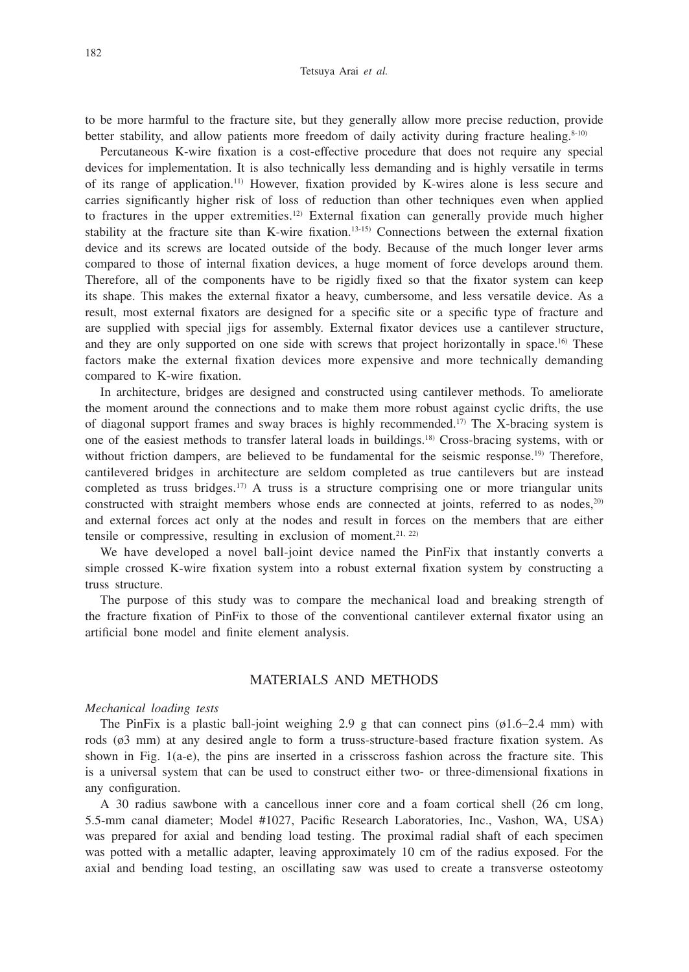to be more harmful to the fracture site, but they generally allow more precise reduction, provide better stability, and allow patients more freedom of daily activity during fracture healing. $8-10$ )

Percutaneous K-wire fixation is a cost-effective procedure that does not require any special devices for implementation. It is also technically less demanding and is highly versatile in terms of its range of application.11) However, fixation provided by K-wires alone is less secure and carries significantly higher risk of loss of reduction than other techniques even when applied to fractures in the upper extremities.12) External fixation can generally provide much higher stability at the fracture site than K-wire fixation.<sup>13-15)</sup> Connections between the external fixation device and its screws are located outside of the body. Because of the much longer lever arms compared to those of internal fixation devices, a huge moment of force develops around them. Therefore, all of the components have to be rigidly fixed so that the fixator system can keep its shape. This makes the external fixator a heavy, cumbersome, and less versatile device. As a result, most external fixators are designed for a specific site or a specific type of fracture and are supplied with special jigs for assembly. External fixator devices use a cantilever structure, and they are only supported on one side with screws that project horizontally in space.<sup>16)</sup> These factors make the external fixation devices more expensive and more technically demanding compared to K-wire fixation.

In architecture, bridges are designed and constructed using cantilever methods. To ameliorate the moment around the connections and to make them more robust against cyclic drifts, the use of diagonal support frames and sway braces is highly recommended.17) The X-bracing system is one of the easiest methods to transfer lateral loads in buildings.18) Cross-bracing systems, with or without friction dampers, are believed to be fundamental for the seismic response.<sup>19)</sup> Therefore, cantilevered bridges in architecture are seldom completed as true cantilevers but are instead completed as truss bridges.<sup>17)</sup> A truss is a structure comprising one or more triangular units constructed with straight members whose ends are connected at joints, referred to as nodes, $2^{0}$ and external forces act only at the nodes and result in forces on the members that are either tensile or compressive, resulting in exclusion of moment.<sup>21, 22)</sup>

We have developed a novel ball-joint device named the PinFix that instantly converts a simple crossed K-wire fixation system into a robust external fixation system by constructing a truss structure.

The purpose of this study was to compare the mechanical load and breaking strength of the fracture fixation of PinFix to those of the conventional cantilever external fixator using an artificial bone model and finite element analysis.

# MATERIALS AND METHODS

#### *Mechanical loading tests*

The PinFix is a plastic ball-joint weighing 2.9 g that can connect pins  $(61.6-2.4 \text{ mm})$  with rods (ø3 mm) at any desired angle to form a truss-structure-based fracture fixation system. As shown in Fig. 1(a-e), the pins are inserted in a crisscross fashion across the fracture site. This is a universal system that can be used to construct either two- or three-dimensional fixations in any configuration.

A 30 radius sawbone with a cancellous inner core and a foam cortical shell (26 cm long, 5.5-mm canal diameter; Model #1027, Pacific Research Laboratories, Inc., Vashon, WA, USA) was prepared for axial and bending load testing. The proximal radial shaft of each specimen was potted with a metallic adapter, leaving approximately 10 cm of the radius exposed. For the axial and bending load testing, an oscillating saw was used to create a transverse osteotomy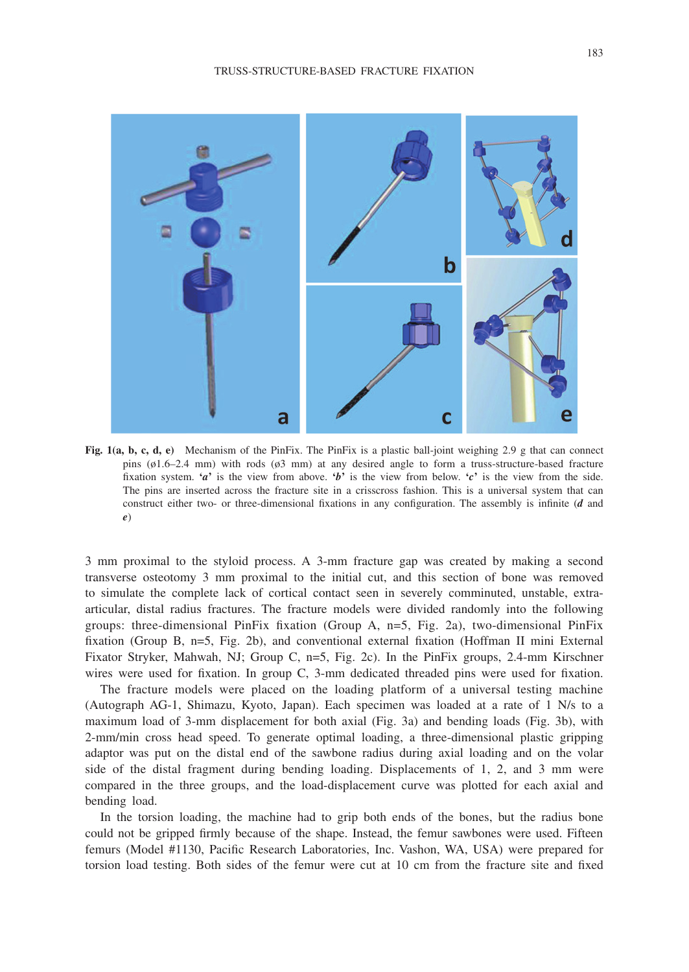

**Fig. 1(a, b, c, d, e)** Mechanism of the PinFix. The PinFix is a plastic ball-joint weighing 2.9 g that can connect pins (ø1.6–2.4 mm) with rods (ø3 mm) at any desired angle to form a truss-structure-based fracture fixation system.  $\mathbf{a}^{\prime}$  is the view from above.  $\mathbf{b}^{\prime}$  is the view from below.  $\mathbf{c}^{\prime}$  is the view from the side. The pins are inserted across the fracture site in a crisscross fashion. This is a universal system that can construct either two- or three-dimensional fixations in any configuration. The assembly is infinite (*d* and *e*)

3 mm proximal to the styloid process. A 3-mm fracture gap was created by making a second transverse osteotomy 3 mm proximal to the initial cut, and this section of bone was removed to simulate the complete lack of cortical contact seen in severely comminuted, unstable, extraarticular, distal radius fractures. The fracture models were divided randomly into the following groups: three-dimensional PinFix fixation (Group A, n=5, Fig. 2a), two-dimensional PinFix fixation (Group B, n=5, Fig. 2b), and conventional external fixation (Hoffman II mini External Fixator Stryker, Mahwah, NJ; Group C, n=5, Fig. 2c). In the PinFix groups, 2.4-mm Kirschner wires were used for fixation. In group C, 3-mm dedicated threaded pins were used for fixation.

The fracture models were placed on the loading platform of a universal testing machine (Autograph AG-1, Shimazu, Kyoto, Japan). Each specimen was loaded at a rate of 1 N/s to a maximum load of 3-mm displacement for both axial (Fig. 3a) and bending loads (Fig. 3b), with 2-mm/min cross head speed. To generate optimal loading, a three-dimensional plastic gripping adaptor was put on the distal end of the sawbone radius during axial loading and on the volar side of the distal fragment during bending loading. Displacements of 1, 2, and 3 mm were compared in the three groups, and the load-displacement curve was plotted for each axial and bending load.

In the torsion loading, the machine had to grip both ends of the bones, but the radius bone could not be gripped firmly because of the shape. Instead, the femur sawbones were used. Fifteen femurs (Model #1130, Pacific Research Laboratories, Inc. Vashon, WA, USA) were prepared for torsion load testing. Both sides of the femur were cut at 10 cm from the fracture site and fixed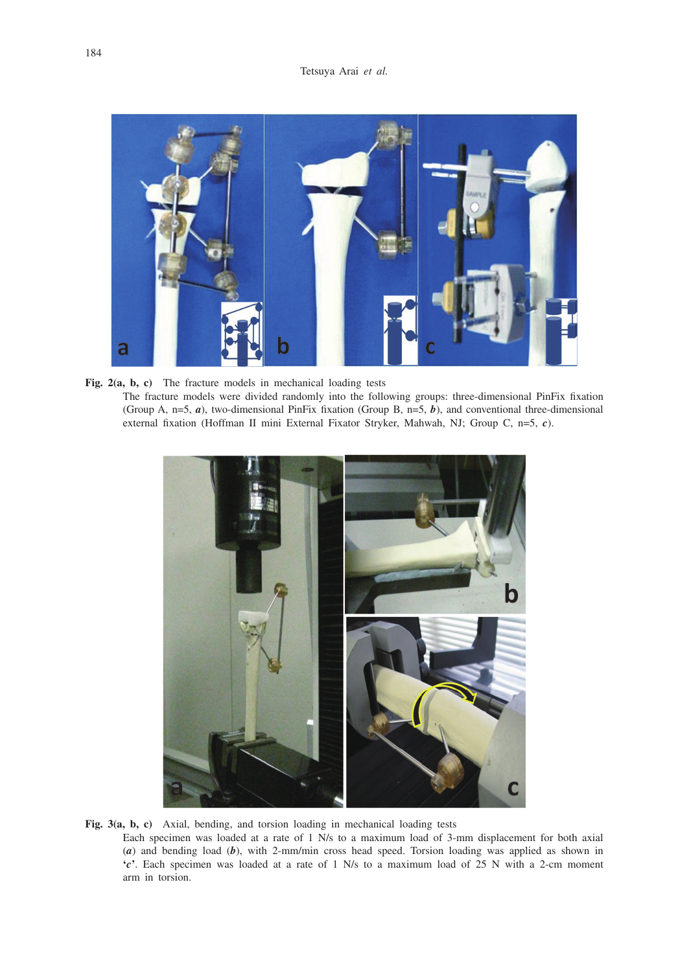

**Fig. 2(a, b, c)** The fracture models in mechanical loading tests The fracture models were divided randomly into the following groups: three-dimensional PinFix fixation (Group A, n=5, *a*), two-dimensional PinFix fixation (Group B, n=5, *b*), and conventional three-dimensional external fixation (Hoffman II mini External Fixator Stryker, Mahwah, NJ; Group C, n=5, *c*).



**Fig. 3(a, b, c)** Axial, bending, and torsion loading in mechanical loading tests

 Each specimen was loaded at a rate of 1 N/s to a maximum load of 3-mm displacement for both axial (*a*) and bending load (*b*), with 2-mm/min cross head speed. Torsion loading was applied as shown in **'***c***'**. Each specimen was loaded at a rate of 1 N/s to a maximum load of 25 N with a 2-cm moment arm in torsion.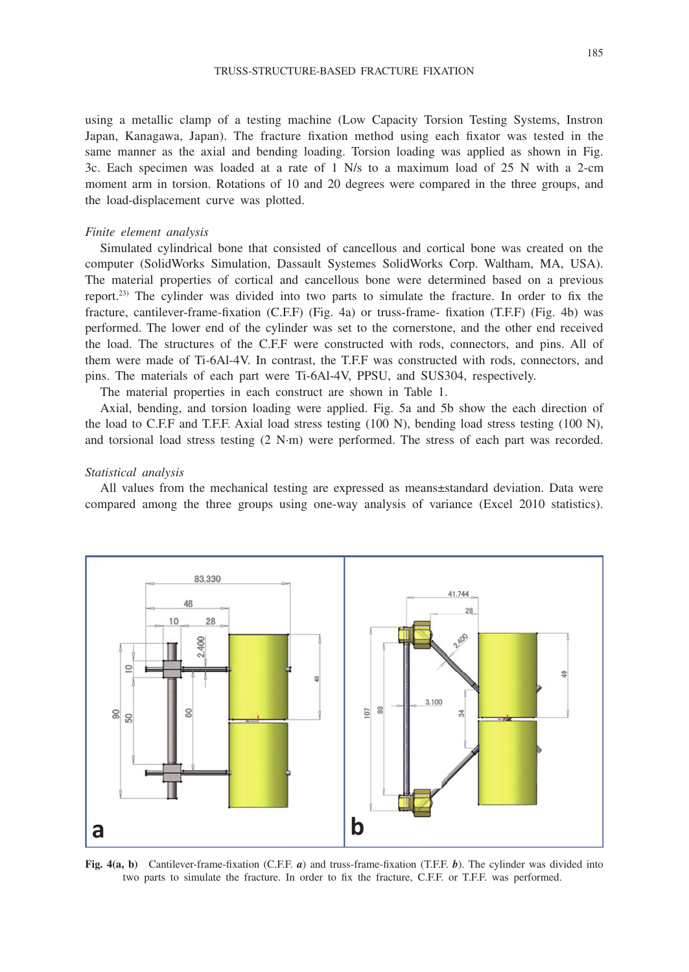using a metallic clamp of a testing machine (Low Capacity Torsion Testing Systems, Instron Japan, Kanagawa, Japan). The fracture fixation method using each fixator was tested in the same manner as the axial and bending loading. Torsion loading was applied as shown in Fig. 3c. Each specimen was loaded at a rate of 1 N/s to a maximum load of 25 N with a 2-cm moment arm in torsion. Rotations of 10 and 20 degrees were compared in the three groups, and the load-displacement curve was plotted.

#### *Finite element analysis*

Simulated cylindrical bone that consisted of cancellous and cortical bone was created on the computer (SolidWorks Simulation, Dassault Systemes SolidWorks Corp. Waltham, MA, USA). The material properties of cortical and cancellous bone were determined based on a previous report.23) The cylinder was divided into two parts to simulate the fracture. In order to fix the fracture, cantilever-frame-fixation (C.F.F) (Fig. 4a) or truss-frame- fixation (T.F.F) (Fig. 4b) was performed. The lower end of the cylinder was set to the cornerstone, and the other end received the load. The structures of the C.F.F were constructed with rods, connectors, and pins. All of them were made of Ti-6Al-4V. In contrast, the T.F.F was constructed with rods, connectors, and pins. The materials of each part were Ti-6Al-4V, PPSU, and SUS304, respectively.

The material properties in each construct are shown in Table 1.

Axial, bending, and torsion loading were applied. Fig. 5a and 5b show the each direction of the load to C.F.F and T.F.F. Axial load stress testing (100 N), bending load stress testing (100 N), and torsional load stress testing (2 N∙m) were performed. The stress of each part was recorded.

#### *Statistical analysis*

All values from the mechanical testing are expressed as means±standard deviation. Data were compared among the three groups using one-way analysis of variance (Excel 2010 statistics).



**Fig. 4(a, b)** Cantilever-frame-fixation (C.F.F. *a*) and truss-frame-fixation (T.F.F. *b*). The cylinder was divided into two parts to simulate the fracture. In order to fix the fracture, C.F.F. or T.F.F. was performed.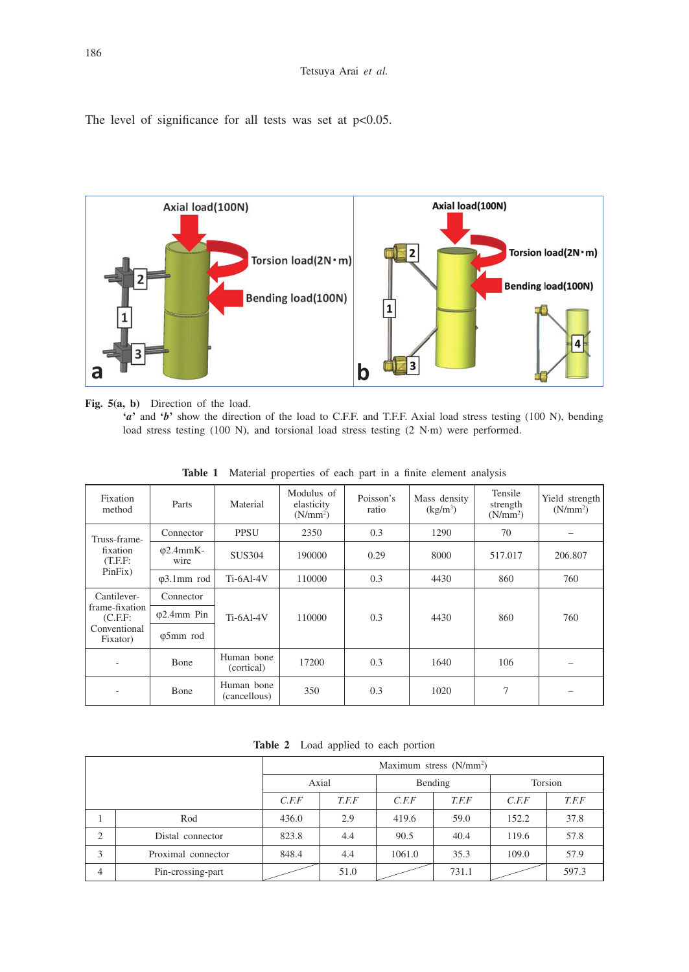The level of significance for all tests was set at  $p<0.05$ .



**Fig. 5(a, b)** Direction of the load.

**'***a***'** and **'***b***'** show the direction of the load to C.F.F. and T.F.F. Axial load stress testing (100 N), bending load stress testing (100 N), and torsional load stress testing (2 N∙m) were performed.

| Fixation<br>method                                                   | Parts                     | Material                   | Modulus of<br>elasticity<br>(N/mm <sup>2</sup> ) | Poisson's<br>ratio | Mass density<br>$(kg/m^3)$ | Tensile<br>strength<br>(N/mm <sup>2</sup> ) | Yield strength<br>(N/mm <sup>2</sup> ) |
|----------------------------------------------------------------------|---------------------------|----------------------------|--------------------------------------------------|--------------------|----------------------------|---------------------------------------------|----------------------------------------|
| Truss-frame-<br>fixation<br>(T.F.F:<br>PinFix)                       | Connector                 | <b>PPSU</b>                | 2350                                             | 0.3                | 1290                       | 70                                          |                                        |
|                                                                      | $\varphi$ 2.4mmK-<br>wire | <b>SUS304</b>              | 190000                                           | 0.29               | 8000                       | 517.017                                     | 206.807                                |
|                                                                      | $\varphi$ 3.1mm rod       | <b>Ti-6Al-4V</b>           | 110000                                           | 0.3                | 4430                       | 860                                         | 760                                    |
| Cantilever-<br>frame-fixation<br>(C.F.F.<br>Conventional<br>Fixator) | Connector                 |                            | 110000                                           | 0.3                | 4430                       | 860                                         | 760                                    |
|                                                                      | $\varphi$ 2.4mm Pin       | <b>Ti-6Al-4V</b>           |                                                  |                    |                            |                                             |                                        |
|                                                                      | φ5mm rod                  |                            |                                                  |                    |                            |                                             |                                        |
|                                                                      | <b>Bone</b>               | Human bone<br>(cortical)   | 17200                                            | 0.3                | 1640                       | 106                                         |                                        |
|                                                                      | Bone                      | Human bone<br>(cancellous) | 350                                              | 0.3                | 1020                       | 7                                           |                                        |

**Table 1** Material properties of each part in a finite element analysis

| <b>Table 2</b> Load applied to each portion |  |  |  |  |  |
|---------------------------------------------|--|--|--|--|--|
|---------------------------------------------|--|--|--|--|--|

|                |                    | Maximum stress (N/mm <sup>2</sup> ) |       |         |       |         |       |  |
|----------------|--------------------|-------------------------------------|-------|---------|-------|---------|-------|--|
|                |                    | Axial                               |       | Bending |       | Torsion |       |  |
|                |                    | C.F.F                               | T.F.F | C.F.F   | T.F.F | C.F.F   | T.F.F |  |
|                | Rod                | 436.0                               | 2.9   | 419.6   | 59.0  | 152.2   | 37.8  |  |
| $\overline{c}$ | Distal connector   | 823.8                               | 4.4   | 90.5    | 40.4  | 119.6   | 57.8  |  |
| 3              | Proximal connector | 848.4                               | 4.4   | 1061.0  | 35.3  | 109.0   | 57.9  |  |
| 4              | Pin-crossing-part  |                                     | 51.0  |         | 731.1 |         | 597.3 |  |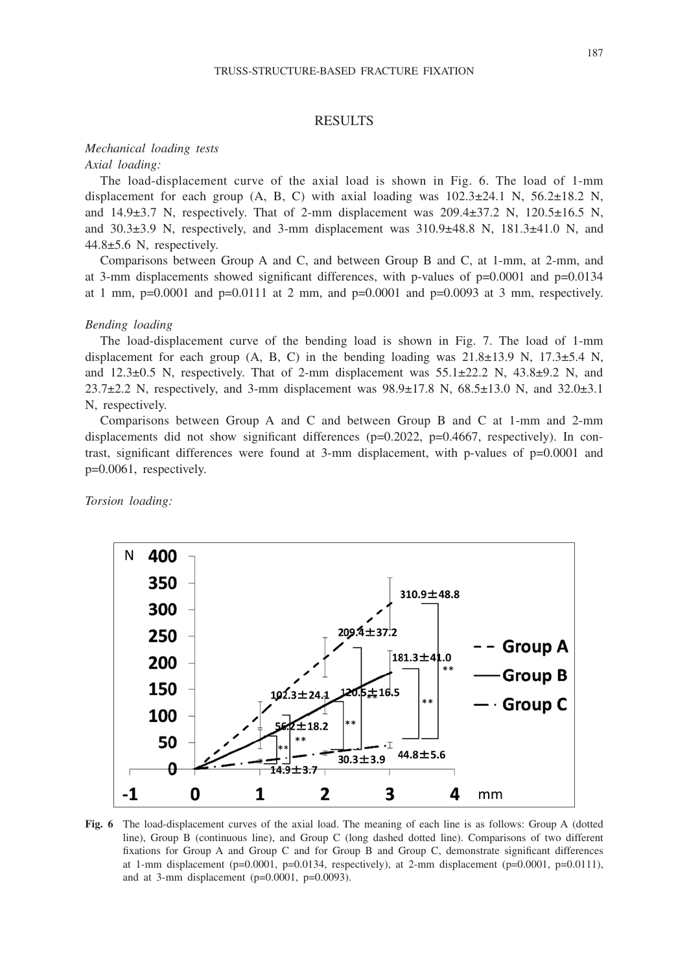### RESULTS

# *Mechanical loading tests*

*Axial loading:*

The load-displacement curve of the axial load is shown in Fig. 6. The load of 1-mm displacement for each group (A, B, C) with axial loading was  $102.3\pm24.1$  N,  $56.2\pm18.2$  N, and  $14.9\pm3.7$  N, respectively. That of 2-mm displacement was  $209.4\pm37.2$  N,  $120.5\pm16.5$  N, and  $30.3\pm3.9$  N, respectively, and 3-mm displacement was  $310.9\pm48.8$  N,  $181.3\pm41.0$  N, and 44.8±5.6 N, respectively.

Comparisons between Group A and C, and between Group B and C, at 1-mm, at 2-mm, and at 3-mm displacements showed significant differences, with p-values of  $p=0.0001$  and  $p=0.0134$ at 1 mm,  $p=0.0001$  and  $p=0.0111$  at 2 mm, and  $p=0.0001$  and  $p=0.0093$  at 3 mm, respectively.

### *Bending loading*

The load-displacement curve of the bending load is shown in Fig. 7. The load of 1-mm displacement for each group  $(A, B, C)$  in the bending loading was  $21.8\pm13.9$  N,  $17.3\pm5.4$  N, and  $12.3\pm0.5$  N, respectively. That of 2-mm displacement was  $55.1\pm22.2$  N,  $43.8\pm9.2$  N, and 23.7 $\pm$ 2.2 N, respectively, and 3-mm displacement was 98.9 $\pm$ 17.8 N, 68.5 $\pm$ 13.0 N, and 32.0 $\pm$ 3.1 N, respectively.

Comparisons between Group A and C and between Group B and C at 1-mm and 2-mm displacements did not show significant differences ( $p=0.2022$ ,  $p=0.4667$ , respectively). In contrast, significant differences were found at 3-mm displacement, with p-values of p=0.0001 and p=0.0061, respectively.

*Torsion loading:*



**Fig. 6** The load-displacement curves of the axial load. The meaning of each line is as follows: Group A (dotted line), Group B (continuous line), and Group C (long dashed dotted line). Comparisons of two different fixations for Group A and Group C and for Group B and Group C, demonstrate significant differences at 1-mm displacement (p=0.0001, p=0.0134, respectively), at 2-mm displacement (p=0.0001, p=0.0111), and at 3-mm displacement  $(p=0.0001, p=0.0093)$ .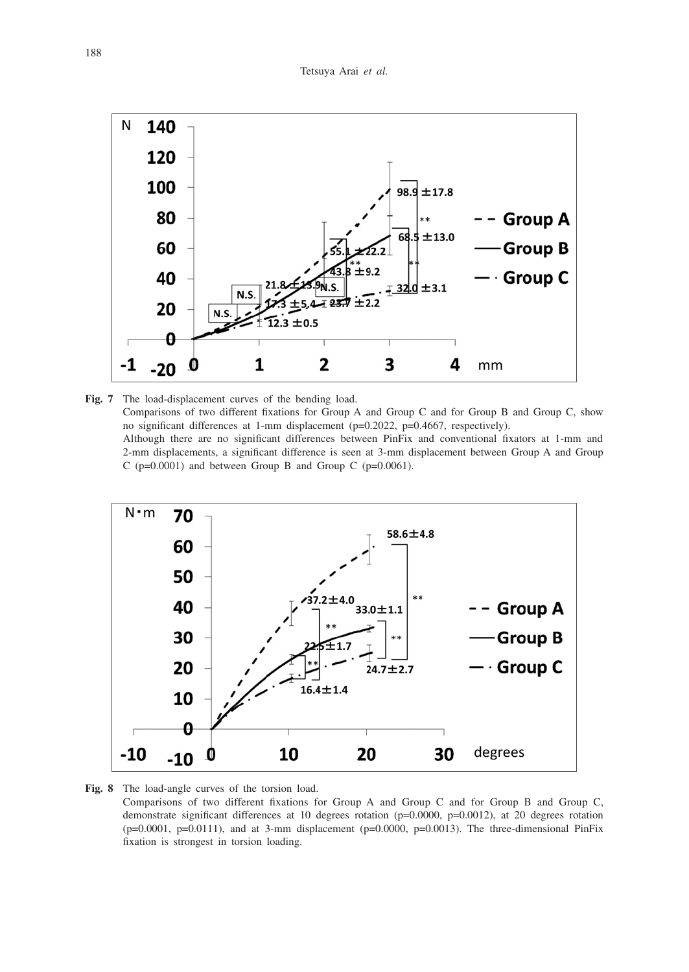

**Fig. 7** The load-displacement curves of the bending load. Comparisons of two different fixations for Group A and Group C and for Group B and Group C, show no significant differences at 1-mm displacement (p=0.2022, p=0.4667, respectively). Although there are no significant differences between PinFix and conventional fixators at 1-mm and 2-mm displacements, a significant difference is seen at 3-mm displacement between Group A and Group C ( $p=0.0001$ ) and between Group B and Group C ( $p=0.0061$ ).



 Comparisons of two different fixations for Group A and Group C and for Group B and Group C, demonstrate significant differences at 10 degrees rotation (p=0.0000, p=0.0012), at 20 degrees rotation  $(p=0.0001, p=0.0111)$ , and at 3-mm displacement  $(p=0.0000, p=0.0013)$ . The three-dimensional PinFix fixation is strongest in torsion loading.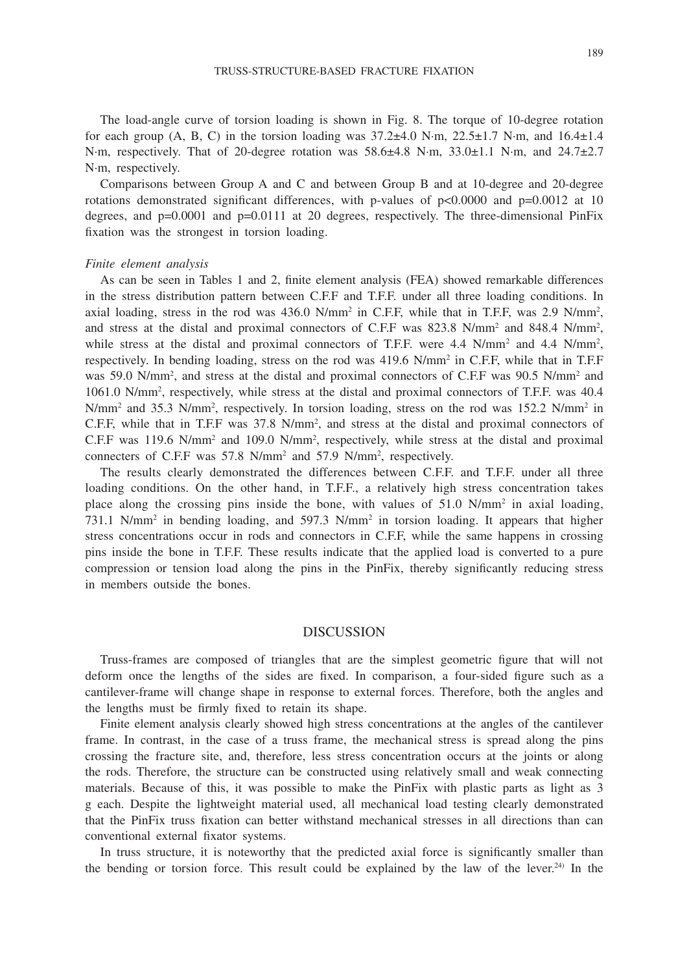The load-angle curve of torsion loading is shown in Fig. 8. The torque of 10-degree rotation for each group (A, B, C) in the torsion loading was  $37.2\pm4.0$  N⋅m,  $22.5\pm1.7$  N⋅m, and  $16.4\pm1.4$ N∙m, respectively. That of 20-degree rotation was 58.6±4.8 N∙m, 33.0±1.1 N∙m, and 24.7±2.7 N∙m, respectively.

Comparisons between Group A and C and between Group B and at 10-degree and 20-degree rotations demonstrated significant differences, with p-values of  $p<0.0000$  and  $p=0.0012$  at 10 degrees, and p=0.0001 and p=0.0111 at 20 degrees, respectively. The three-dimensional PinFix fixation was the strongest in torsion loading.

#### *Finite element analysis*

As can be seen in Tables 1 and 2, finite element analysis (FEA) showed remarkable differences in the stress distribution pattern between C.F.F and T.F.F. under all three loading conditions. In axial loading, stress in the rod was  $436.0 \text{ N/mm}^2$  in C.F.F, while that in T.F.F, was 2.9 N/mm<sup>2</sup>, and stress at the distal and proximal connectors of C.F.F was 823.8 N/mm<sup>2</sup> and 848.4 N/mm<sup>2</sup>, while stress at the distal and proximal connectors of T.F.F. were  $4.4 \text{ N/mm}^2$  and  $4.4 \text{ N/mm}^2$ , respectively. In bending loading, stress on the rod was 419.6 N/mm<sup>2</sup> in C.F.F, while that in T.F.F was 59.0 N/mm<sup>2</sup>, and stress at the distal and proximal connectors of C.F.F was 90.5 N/mm<sup>2</sup> and 1061.0 N/mm2 , respectively, while stress at the distal and proximal connectors of T.F.F. was 40.4  $N/mm<sup>2</sup>$  and 35.3  $N/mm<sup>2</sup>$ , respectively. In torsion loading, stress on the rod was 152.2  $N/mm<sup>2</sup>$  in C.F.F, while that in T.F.F was 37.8 N/mm<sup>2</sup>, and stress at the distal and proximal connectors of  $C.F.F$  was 119.6 N/mm<sup>2</sup> and 109.0 N/mm<sup>2</sup>, respectively, while stress at the distal and proximal connecters of C.F.F was 57.8 N/mm<sup>2</sup> and 57.9 N/mm<sup>2</sup>, respectively.

The results clearly demonstrated the differences between C.F.F. and T.F.F. under all three loading conditions. On the other hand, in T.F.F., a relatively high stress concentration takes place along the crossing pins inside the bone, with values of 51.0 N/mm<sup>2</sup> in axial loading, 731.1 N/mm<sup>2</sup> in bending loading, and 597.3 N/mm<sup>2</sup> in torsion loading. It appears that higher stress concentrations occur in rods and connectors in C.F.F, while the same happens in crossing pins inside the bone in T.F.F. These results indicate that the applied load is converted to a pure compression or tension load along the pins in the PinFix, thereby significantly reducing stress in members outside the bones.

#### DISCUSSION

Truss-frames are composed of triangles that are the simplest geometric figure that will not deform once the lengths of the sides are fixed. In comparison, a four-sided figure such as a cantilever-frame will change shape in response to external forces. Therefore, both the angles and the lengths must be firmly fixed to retain its shape.

Finite element analysis clearly showed high stress concentrations at the angles of the cantilever frame. In contrast, in the case of a truss frame, the mechanical stress is spread along the pins crossing the fracture site, and, therefore, less stress concentration occurs at the joints or along the rods. Therefore, the structure can be constructed using relatively small and weak connecting materials. Because of this, it was possible to make the PinFix with plastic parts as light as 3 g each. Despite the lightweight material used, all mechanical load testing clearly demonstrated that the PinFix truss fixation can better withstand mechanical stresses in all directions than can conventional external fixator systems.

In truss structure, it is noteworthy that the predicted axial force is significantly smaller than the bending or torsion force. This result could be explained by the law of the lever.<sup>24)</sup> In the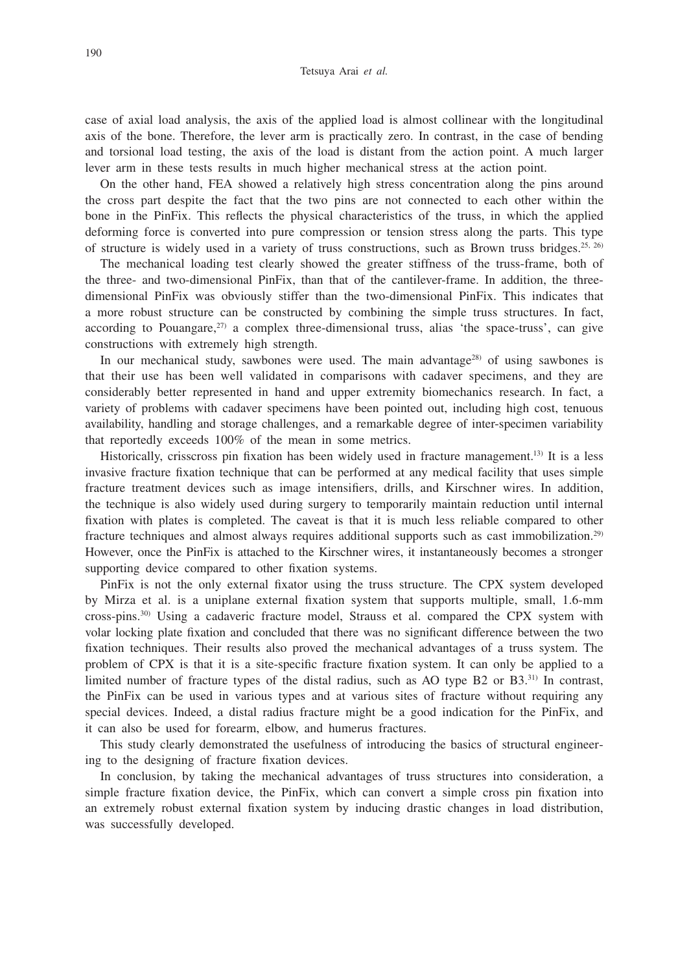case of axial load analysis, the axis of the applied load is almost collinear with the longitudinal axis of the bone. Therefore, the lever arm is practically zero. In contrast, in the case of bending and torsional load testing, the axis of the load is distant from the action point. A much larger lever arm in these tests results in much higher mechanical stress at the action point.

On the other hand, FEA showed a relatively high stress concentration along the pins around the cross part despite the fact that the two pins are not connected to each other within the bone in the PinFix. This reflects the physical characteristics of the truss, in which the applied deforming force is converted into pure compression or tension stress along the parts. This type of structure is widely used in a variety of truss constructions, such as Brown truss bridges.<sup>25, 26)</sup>

The mechanical loading test clearly showed the greater stiffness of the truss-frame, both of the three- and two-dimensional PinFix, than that of the cantilever-frame. In addition, the threedimensional PinFix was obviously stiffer than the two-dimensional PinFix. This indicates that a more robust structure can be constructed by combining the simple truss structures. In fact, according to Pouangare, $27$  a complex three-dimensional truss, alias 'the space-truss', can give constructions with extremely high strength.

In our mechanical study, sawbones were used. The main advantage<sup>28)</sup> of using sawbones is that their use has been well validated in comparisons with cadaver specimens, and they are considerably better represented in hand and upper extremity biomechanics research. In fact, a variety of problems with cadaver specimens have been pointed out, including high cost, tenuous availability, handling and storage challenges, and a remarkable degree of inter-specimen variability that reportedly exceeds 100% of the mean in some metrics.

Historically, crisscross pin fixation has been widely used in fracture management.13) It is a less invasive fracture fixation technique that can be performed at any medical facility that uses simple fracture treatment devices such as image intensifiers, drills, and Kirschner wires. In addition, the technique is also widely used during surgery to temporarily maintain reduction until internal fixation with plates is completed. The caveat is that it is much less reliable compared to other fracture techniques and almost always requires additional supports such as cast immobilization.29) However, once the PinFix is attached to the Kirschner wires, it instantaneously becomes a stronger supporting device compared to other fixation systems.

PinFix is not the only external fixator using the truss structure. The CPX system developed by Mirza et al. is a uniplane external fixation system that supports multiple, small, 1.6-mm cross-pins.30) Using a cadaveric fracture model, Strauss et al. compared the CPX system with volar locking plate fixation and concluded that there was no significant difference between the two fixation techniques. Their results also proved the mechanical advantages of a truss system. The problem of CPX is that it is a site-specific fracture fixation system. It can only be applied to a limited number of fracture types of the distal radius, such as AO type B2 or B3.31) In contrast, the PinFix can be used in various types and at various sites of fracture without requiring any special devices. Indeed, a distal radius fracture might be a good indication for the PinFix, and it can also be used for forearm, elbow, and humerus fractures.

This study clearly demonstrated the usefulness of introducing the basics of structural engineering to the designing of fracture fixation devices.

In conclusion, by taking the mechanical advantages of truss structures into consideration, a simple fracture fixation device, the PinFix, which can convert a simple cross pin fixation into an extremely robust external fixation system by inducing drastic changes in load distribution, was successfully developed.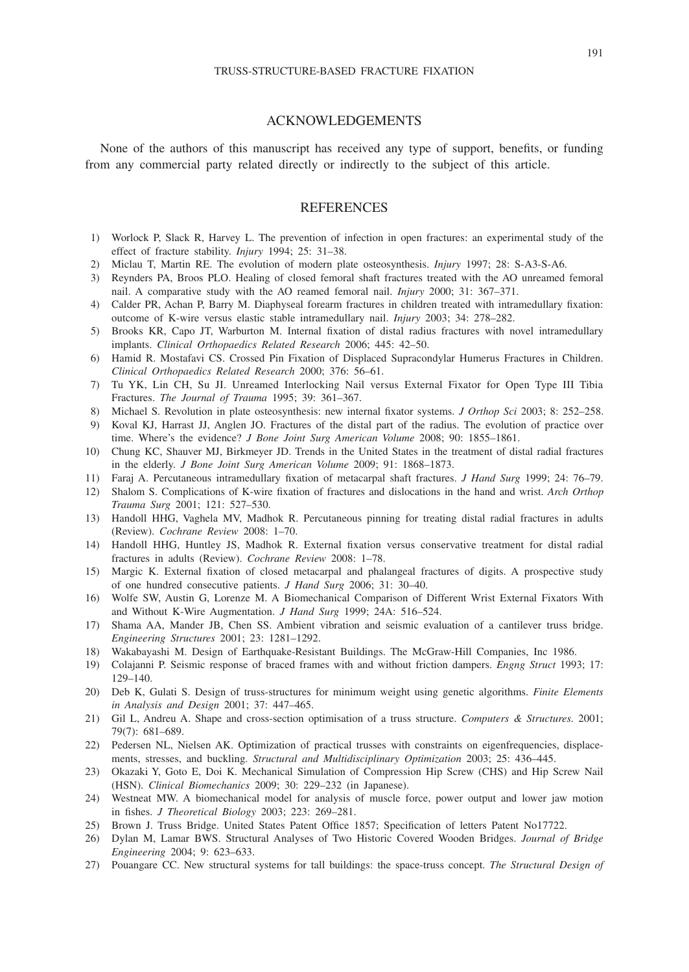#### ACKNOWLEDGEMENTS

None of the authors of this manuscript has received any type of support, benefits, or funding from any commercial party related directly or indirectly to the subject of this article.

#### **REFERENCES**

- 1) Worlock P, Slack R, Harvey L. The prevention of infection in open fractures: an experimental study of the effect of fracture stability. *Injury* 1994; 25: 31–38.
- 2) Miclau T, Martin RE. The evolution of modern plate osteosynthesis. *Injury* 1997; 28: S-A3-S-A6.
- 3) Reynders PA, Broos PLO. Healing of closed femoral shaft fractures treated with the AO unreamed femoral nail. A comparative study with the AO reamed femoral nail. *Injury* 2000; 31: 367–371.
- 4) Calder PR, Achan P, Barry M. Diaphyseal forearm fractures in children treated with intramedullary fixation: outcome of K-wire versus elastic stable intramedullary nail. *Injury* 2003; 34: 278–282.
- 5) Brooks KR, Capo JT, Warburton M. Internal fixation of distal radius fractures with novel intramedullary implants. *Clinical Orthopaedics Related Research* 2006; 445: 42–50.
- 6) Hamid R. Mostafavi CS. Crossed Pin Fixation of Displaced Supracondylar Humerus Fractures in Children. *Clinical Orthopaedics Related Research* 2000; 376: 56–61.
- 7) Tu YK, Lin CH, Su JI. Unreamed Interlocking Nail versus External Fixator for Open Type III Tibia Fractures. *The Journal of Trauma* 1995; 39: 361–367.
- 8) Michael S. Revolution in plate osteosynthesis: new internal fixator systems. *J Orthop Sci* 2003; 8: 252–258.
- 9) Koval KJ, Harrast JJ, Anglen JO. Fractures of the distal part of the radius. The evolution of practice over time. Where's the evidence? *J Bone Joint Surg American Volume* 2008; 90: 1855–1861.
- 10) Chung KC, Shauver MJ, Birkmeyer JD. Trends in the United States in the treatment of distal radial fractures in the elderly. *J Bone Joint Surg American Volume* 2009; 91: 1868–1873.
- 11) Faraj A. Percutaneous intramedullary fixation of metacarpal shaft fractures. *J Hand Surg* 1999; 24: 76–79.
- 12) Shalom S. Complications of K-wire fixation of fractures and dislocations in the hand and wrist. *Arch Orthop Trauma Surg* 2001; 121: 527–530.
- 13) Handoll HHG, Vaghela MV, Madhok R. Percutaneous pinning for treating distal radial fractures in adults (Review). *Cochrane Review* 2008: 1–70.
- 14) Handoll HHG, Huntley JS, Madhok R. External fixation versus conservative treatment for distal radial fractures in adults (Review). *Cochrane Review* 2008: 1–78.
- 15) Margic K. External fixation of closed metacarpal and phalangeal fractures of digits. A prospective study of one hundred consecutive patients. *J Hand Surg* 2006; 31: 30–40.
- 16) Wolfe SW, Austin G, Lorenze M. A Biomechanical Comparison of Different Wrist External Fixators With and Without K-Wire Augmentation. *J Hand Surg* 1999; 24A: 516–524.
- 17) Shama AA, Mander JB, Chen SS. Ambient vibration and seismic evaluation of a cantilever truss bridge. *Engineering Structures* 2001; 23: 1281–1292.
- 18) Wakabayashi M. Design of Earthquake-Resistant Buildings. The McGraw-Hill Companies, Inc 1986.
- 19) Colajanni P. Seismic response of braced frames with and without friction dampers. *Engng Struct* 1993; 17: 129–140.
- 20) Deb K, Gulati S. Design of truss-structures for minimum weight using genetic algorithms. *Finite Elements in Analysis and Design* 2001; 37: 447–465.
- 21) Gil L, Andreu A. Shape and cross-section optimisation of a truss structure. *Computers & Structures.* 2001; 79(7): 681–689.
- 22) Pedersen NL, Nielsen AK. Optimization of practical trusses with constraints on eigenfrequencies, displacements, stresses, and buckling. *Structural and Multidisciplinary Optimization* 2003; 25: 436–445.
- 23) Okazaki Y, Goto E, Doi K. Mechanical Simulation of Compression Hip Screw (CHS) and Hip Screw Nail (HSN). *Clinical Biomechanics* 2009; 30: 229–232 (in Japanese).
- 24) Westneat MW. A biomechanical model for analysis of muscle force, power output and lower jaw motion in fishes. *J Theoretical Biology* 2003; 223: 269–281.
- 25) Brown J. Truss Bridge. United States Patent Office 1857; Specification of letters Patent No17722.
- 26) Dylan M, Lamar BWS. Structural Analyses of Two Historic Covered Wooden Bridges. *Journal of Bridge Engineering* 2004; 9: 623–633.
- 27) Pouangare CC. New structural systems for tall buildings: the space-truss concept. *The Structural Design of*